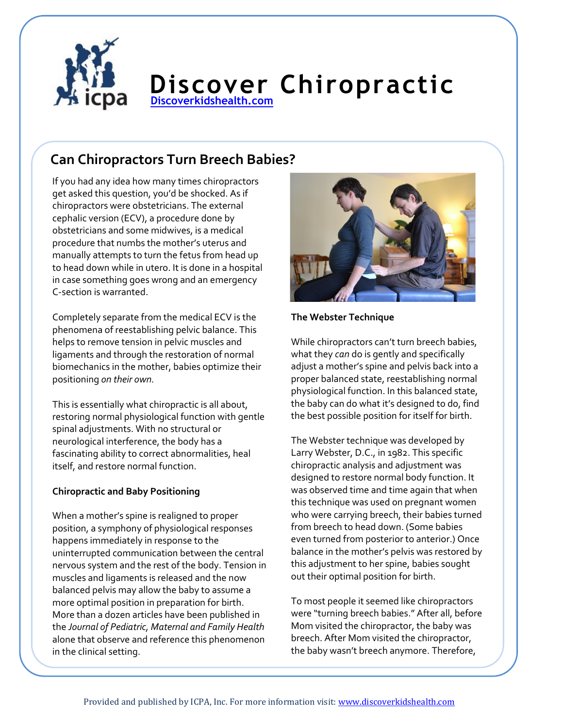

# **Discover Chiropractic [Discoverkidshealth.com](http://www.discoverkidshealth.com/)**

## **Can Chiropractors Turn Breech Babies?**

If you had any idea how many times chiropractors get asked this question, you'd be shocked. As if chiropractors were obstetricians. The external cephalic version (ECV), a procedure done by obstetricians and some midwives, is a medical procedure that numbs the mother's uterus and manually attempts to turn the fetus from head up to head down while in utero. It is done in a hospital in case something goes wrong and an emergency C-section is warranted.

Completely separate from the medical ECV is the phenomena of reestablishing pelvic balance. This helps to remove tension in pelvic muscles and ligaments and through the restoration of normal biomechanics in the mother, babies optimize their positioning *on their own.*

This is essentially what chiropractic is all about, restoring normal physiological function with gentle spinal adjustments. With no structural or neurological interference, the body has a fascinating ability to correct abnormalities, heal itself, and restore normal function.

## **Chiropractic and Baby Positioning**

When a mother's spine is realigned to proper position, a symphony of physiological responses happens immediately in response to the uninterrupted communication between the central nervous system and the rest of the body. Tension in muscles and ligaments is released and the now balanced pelvis may allow the baby to assume a more optimal position in preparation for birth. More than a dozen articles have been published in the *Journal of Pediatric, Maternal and Family Health* alone that observe and reference this phenomenon in the clinical setting.



**The Webster Technique**

While chiropractors can't turn breech babies, what they *can* do is gently and specifically adjust a mother's spine and pelvis back into a proper balanced state, reestablishing normal physiological function. In this balanced state, the baby can do what it's designed to do, find the best possible position for itself for birth.

The Webster technique was developed by Larry Webster, D.C., in 1982. This specific chiropractic analysis and adjustment was designed to restore normal body function. It was observed time and time again that when this technique was used on pregnant women who were carrying breech, their babies turned from breech to head down. (Some babies even turned from posterior to anterior.) Once balance in the mother's pelvis was restored by this adjustment to her spine, babies sought out their optimal position for birth.

To most people it seemed like chiropractors were "turning breech babies." After all, before Mom visited the chiropractor, the baby was breech. After Mom visited the chiropractor, the baby wasn't breech anymore. Therefore,